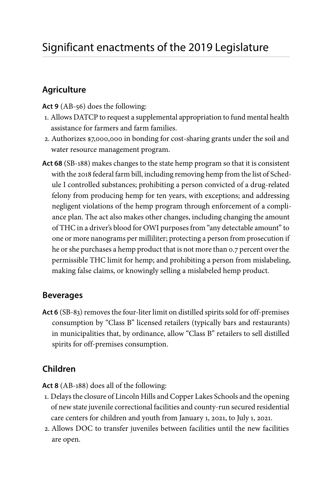## **Agriculture**

**Act 9** [\(AB-5](https://docs.legis.wisconsin.gov/2019/proposals/ab56)6) does the following:

- 1. Allows DATCP to request a supplemental appropriation to fund mental health assistance for farmers and farm families.
- 2. Authorizes \$7,000,000 in bonding for cost-sharing grants under the soil and water resource management program.
- **Act 68** ([SB-188\)](https://docs.legis.wisconsin.gov/2019/proposals/reg/sen/bill/sb188) makes changes to the state hemp program so that it is consistent with the 2018 federal farm bill, including removing hemp from the list of Schedule I controlled substances; prohibiting a person convicted of a drug-related felony from producing hemp for ten years, with exceptions; and addressing negligent violations of the hemp program through enforcement of a compliance plan. The act also makes other changes, including changing the amount of THC in a driver's blood for OWI purposes from "any detectable amount" to one or more nanograms per milliliter; protecting a person from prosecution if he or she purchases a hemp product that is not more than 0.7 percent over the permissible THC limit for hemp; and prohibiting a person from mislabeling, making false claims, or knowingly selling a mislabeled hemp product.

## **Beverages**

**Act 6** [\(SB-83\)](https://docs.legis.wisconsin.gov/2019/proposals/reg/sen/bill/sb83) removes the four-liter limit on distilled spirits sold for off-premises consumption by "Class B" licensed retailers (typically bars and restaurants) in municipalities that, by ordinance, allow "Class B" retailers to sell distilled spirits for off-premises consumption.

# **Children**

**Act 8** [\(AB-188](https://docs.legis.wisconsin.gov/2019/proposals/reg/asm/bill/ab188)) does all of the following:

- 1. Delays the closure of Lincoln Hills and Copper Lakes Schools and the opening of new state juvenile correctional facilities and county-run secured residential care centers for children and youth from January 1, 2021, to July 1, 2021.
- 2. Allows DOC to transfer juveniles between facilities until the new facilities are open.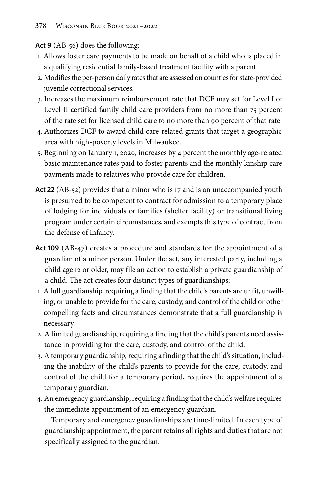## **Act 9** [\(AB-5](https://docs.legis.wisconsin.gov/2019/proposals/ab56)6) does the following:

- 1. Allows foster care payments to be made on behalf of a child who is placed in a qualifying residential family-based treatment facility with a parent.
- 2. Modifies the per-person daily rates that are assessed on counties for state-provided juvenile correctional services.
- 3. Increases the maximum reimbursement rate that DCF may set for Level I or Level II certified family child care providers from no more than 75 percent of the rate set for licensed child care to no more than 90 percent of that rate.
- 4. Authorizes DCF to award child care-related grants that target a geographic area with high-poverty levels in Milwaukee.
- 5. Beginning on January 1, 2020, increases by 4 percent the monthly age-related basic maintenance rates paid to foster parents and the monthly kinship care payments made to relatives who provide care for children.
- **Act 22** [\(AB-52\)](https://docs.legis.wisconsin.gov/2019/proposals/reg/asm/bill/ab52) provides that a minor who is 17 and is an unaccompanied youth is presumed to be competent to contract for admission to a temporary place of lodging for individuals or families (shelter facility) or transitional living program under certain circumstances, and exempts this type of contract from the defense of infancy.
- **Act 109** ([AB-47\)](https://docs.legis.wisconsin.gov/2019/proposals/reg/asm/bill/ab47) creates a procedure and standards for the appointment of a guardian of a minor person. Under the act, any interested party, including a child age 12 or older, may file an action to establish a private guardianship of a child. The act creates four distinct types of guardianships:
- 1. A full guardianship, requiring a finding that the child's parents are unfit, unwilling, or unable to provide for the care, custody, and control of the child or other compelling facts and circumstances demonstrate that a full guardianship is necessary.
- 2. A limited guardianship, requiring a finding that the child's parents need assistance in providing for the care, custody, and control of the child.
- 3. A temporary guardianship, requiring a finding that the child's situation, including the inability of the child's parents to provide for the care, custody, and control of the child for a temporary period, requires the appointment of a temporary guardian.
- 4. An emergency guardianship, requiring a finding that the child's welfare requires the immediate appointment of an emergency guardian.

Temporary and emergency guardianships are time-limited. In each type of guardianship appointment, the parent retains all rights and duties that are not specifically assigned to the guardian.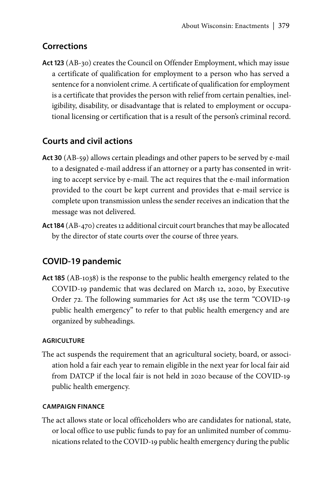## **Corrections**

**Act 123** [\(AB-30\)](https://docs.legis.wisconsin.gov/2019/proposals/reg/asm/bill/ab30) creates the Council on Offender Employment, which may issue a certificate of qualification for employment to a person who has served a sentence for a nonviolent crime. A certificate of qualification for employment is a certificate that provides the person with relief from certain penalties, ineligibility, disability, or disadvantage that is related to employment or occupational licensing or certification that is a result of the person's criminal record.

## **Courts and civil actions**

- **Act 30** ([AB-59\)](https://docs.legis.wisconsin.gov/2019/proposals/reg/asm/bill/ab59) allows certain pleadings and other papers to be served by e-mail to a designated e-mail address if an attorney or a party has consented in writing to accept service by e-mail. The act requires that the e-mail information provided to the court be kept current and provides that e-mail service is complete upon transmission unless the sender receives an indication that the message was not delivered.
- **Act 184** [\(AB-470](https://docs.legis.wisconsin.gov/2019/proposals/reg/asm/bill/ab470)) creates 12 additional circuit court branches that may be allocated by the director of state courts over the course of three years.

## **COVID-19 pandemic**

**Act 185** ([AB-1038](https://docs.legis.wisconsin.gov/2019/proposals/reg/asm/bill/ab1038)) is the response to the public health emergency related to the COVID-19 pandemic that was declared on March 12, 2020, by Executive Order 72. The following summaries for Act 185 use the term "COVID-19 public health emergency" to refer to that public health emergency and are organized by subheadings.

### **AGRICULTURE**

The act suspends the requirement that an agricultural society, board, or association hold a fair each year to remain eligible in the next year for local fair aid from DATCP if the local fair is not held in 2020 because of the COVID-19 public health emergency.

### **CAMPAIGN FINANCE**

The act allows state or local officeholders who are candidates for national, state, or local office to use public funds to pay for an unlimited number of communications related to the COVID-19 public health emergency during the public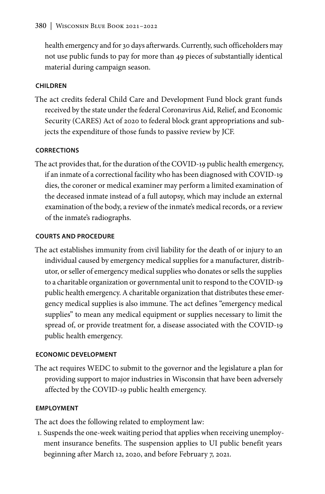health emergency and for 30 days afterwards. Currently, such officeholders may not use public funds to pay for more than 49 pieces of substantially identical material during campaign season.

### **CHILDREN**

The act credits federal Child Care and Development Fund block grant funds received by the state under the federal Coronavirus Aid, Relief, and Economic Security (CARES) Act of 2020 to federal block grant appropriations and subjects the expenditure of those funds to passive review by JCF.

## **CORRECTIONS**

The act provides that, for the duration of the COVID-19 public health emergency, if an inmate of a correctional facility who has been diagnosed with COVID-19 dies, the coroner or medical examiner may perform a limited examination of the deceased inmate instead of a full autopsy, which may include an external examination of the body, a review of the inmate's medical records, or a review of the inmate's radiographs.

### **COURTS AND PROCEDURE**

The act establishes immunity from civil liability for the death of or injury to an individual caused by emergency medical supplies for a manufacturer, distributor, or seller of emergency medical supplies who donates or sells the supplies to a charitable organization or governmental unit to respond to the COVID-19 public health emergency. A charitable organization that distributes these emergency medical supplies is also immune. The act defines "emergency medical supplies" to mean any medical equipment or supplies necessary to limit the spread of, or provide treatment for, a disease associated with the COVID-19 public health emergency.

### **ECONOMIC DEVELOPMENT**

The act requires WEDC to submit to the governor and the legislature a plan for providing support to major industries in Wisconsin that have been adversely affected by the COVID-19 public health emergency.

### **EMPLOYMENT**

The act does the following related to employment law:

1. Suspends the one-week waiting period that applies when receiving unemployment insurance benefits. The suspension applies to UI public benefit years beginning after March 12, 2020, and before February 7, 2021.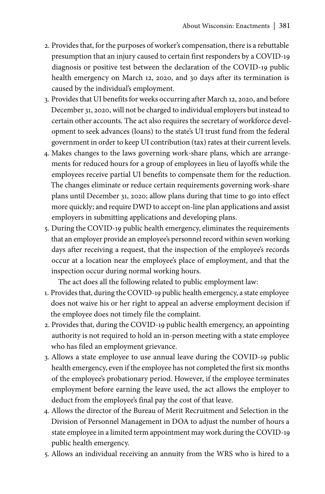- 2. Provides that, for the purposes of worker's compensation, there is a rebuttable presumption that an injury caused to certain first responders by a COVID-19 diagnosis or positive test between the declaration of the COVID-19 public health emergency on March 12, 2020, and 30 days after its termination is caused by the individual's employment.
- 3. Provides that UI benefits for weeks occurring after March 12, 2020, and before December 31, 2020, will not be charged to individual employers but instead to certain other accounts. The act also requires the secretary of workforce development to seek advances (loans) to the state's UI trust fund from the federal government in order to keep UI contribution (tax) rates at their current levels.
- 4. Makes changes to the laws governing work-share plans, which are arrangements for reduced hours for a group of employees in lieu of layoffs while the employees receive partial UI benefits to compensate them for the reduction. The changes eliminate or reduce certain requirements governing work-share plans until December 31, 2020; allow plans during that time to go into effect more quickly; and require DWD to accept on-line plan applications and assist employers in submitting applications and developing plans.
- 5. During the COVID-19 public health emergency, eliminates the requirements that an employer provide an employee's personnel record within seven working days after receiving a request, that the inspection of the employee's records occur at a location near the employee's place of employment, and that the inspection occur during normal working hours.

The act does all the following related to public employment law:

- 1. Provides that, during the COVID-19 public health emergency, a state employee does not waive his or her right to appeal an adverse employment decision if the employee does not timely file the complaint.
- 2. Provides that, during the COVID-19 public health emergency, an appointing authority is not required to hold an in-person meeting with a state employee who has filed an employment grievance.
- 3. Allows a state employee to use annual leave during the COVID-19 public health emergency, even if the employee has not completed the first six months of the employee's probationary period. However, if the employee terminates employment before earning the leave used, the act allows the employer to deduct from the employee's final pay the cost of that leave.
- 4. Allows the director of the Bureau of Merit Recruitment and Selection in the Division of Personnel Management in DOA to adjust the number of hours a state employee in a limited term appointment may work during the COVID-19 public health emergency.
- 5. Allows an individual receiving an annuity from the WRS who is hired to a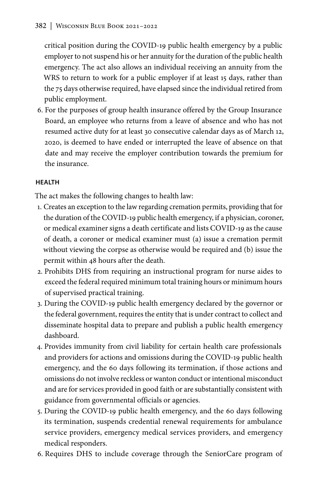critical position during the COVID-19 public health emergency by a public employer to not suspend his or her annuity for the duration of the public health emergency. The act also allows an individual receiving an annuity from the WRS to return to work for a public employer if at least 15 days, rather than the 75 days otherwise required, have elapsed since the individual retired from public employment.

6. For the purposes of group health insurance offered by the Group Insurance Board, an employee who returns from a leave of absence and who has not resumed active duty for at least 30 consecutive calendar days as of March 12, 2020, is deemed to have ended or interrupted the leave of absence on that date and may receive the employer contribution towards the premium for the insurance.

### **HEALTH**

The act makes the following changes to health law:

- 1. Creates an exception to the law regarding cremation permits, providing that for the duration of the COVID-19 public health emergency, if a physician, coroner, or medical examiner signs a death certificate and lists COVID-19 as the cause of death, a coroner or medical examiner must (a) issue a cremation permit without viewing the corpse as otherwise would be required and (b) issue the permit within 48 hours after the death.
- 2. Prohibits DHS from requiring an instructional program for nurse aides to exceed the federal required minimum total training hours or minimum hours of supervised practical training.
- 3. During the COVID-19 public health emergency declared by the governor or the federal government, requires the entity that is under contract to collect and disseminate hospital data to prepare and publish a public health emergency dashboard.
- 4. Provides immunity from civil liability for certain health care professionals and providers for actions and omissions during the COVID-19 public health emergency, and the 60 days following its termination, if those actions and omissions do not involve reckless or wanton conduct or intentional misconduct and are for services provided in good faith or are substantially consistent with guidance from governmental officials or agencies.
- 5. During the COVID-19 public health emergency, and the 60 days following its termination, suspends credential renewal requirements for ambulance service providers, emergency medical services providers, and emergency medical responders.
- 6. Requires DHS to include coverage through the SeniorCare program of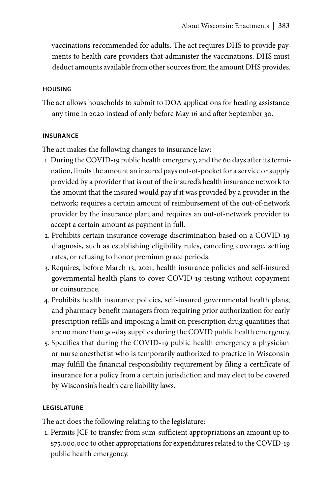vaccinations recommended for adults. The act requires DHS to provide payments to health care providers that administer the vaccinations. DHS must deduct amounts available from other sources from the amount DHS provides.

#### **HOUSING**

The act allows households to submit to DOA applications for heating assistance any time in 2020 instead of only before May 16 and after September 30.

#### **INSURANCE**

The act makes the following changes to insurance law:

- 1. During the COVID-19 public health emergency, and the 60 days after its termination, limits the amount an insured pays out-of-pocket for a service or supply provided by a provider that is out of the insured's health insurance network to the amount that the insured would pay if it was provided by a provider in the network; requires a certain amount of reimbursement of the out-of-network provider by the insurance plan; and requires an out-of-network provider to accept a certain amount as payment in full.
- 2. Prohibits certain insurance coverage discrimination based on a COVID-19 diagnosis, such as establishing eligibility rules, canceling coverage, setting rates, or refusing to honor premium grace periods.
- 3. Requires, before March 13, 2021, health insurance policies and self-insured governmental health plans to cover COVID-19 testing without copayment or coinsurance.
- 4. Prohibits health insurance policies, self-insured governmental health plans, and pharmacy benefit managers from requiring prior authorization for early prescription refills and imposing a limit on prescription drug quantities that are no more than 90-day supplies during the COVID public health emergency.
- 5. Specifies that during the COVID-19 public health emergency a physician or nurse anesthetist who is temporarily authorized to practice in Wisconsin may fulfill the financial responsibility requirement by filing a certificate of insurance for a policy from a certain jurisdiction and may elect to be covered by Wisconsin's health care liability laws.

#### **LEGISLATURE**

The act does the following relating to the legislature:

1. Permits JCF to transfer from sum-sufficient appropriations an amount up to \$75,000,000 to other appropriations for expenditures related to the COVID-19 public health emergency.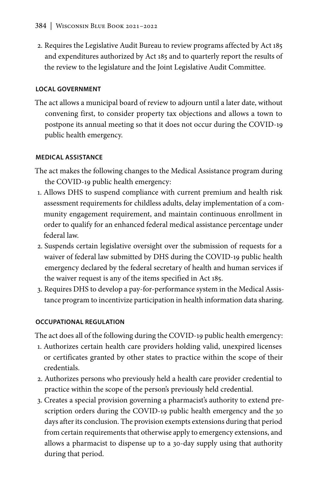2. Requires the Legislative Audit Bureau to review programs affected by Act 185 and expenditures authorized by Act 185 and to quarterly report the results of the review to the legislature and the Joint Legislative Audit Committee.

### **LOCAL GOVERNMENT**

The act allows a municipal board of review to adjourn until a later date, without convening first, to consider property tax objections and allows a town to postpone its annual meeting so that it does not occur during the COVID-19 public health emergency.

### **MEDICAL ASSISTANCE**

- The act makes the following changes to the Medical Assistance program during the COVID-19 public health emergency:
- 1. Allows DHS to suspend compliance with current premium and health risk assessment requirements for childless adults, delay implementation of a community engagement requirement, and maintain continuous enrollment in order to qualify for an enhanced federal medical assistance percentage under federal law.
- 2. Suspends certain legislative oversight over the submission of requests for a waiver of federal law submitted by DHS during the COVID-19 public health emergency declared by the federal secretary of health and human services if the waiver request is any of the items specified in Act 185.
- 3. Requires DHS to develop a pay-for-performance system in the Medical Assistance program to incentivize participation in health information data sharing.

## **OCCUPATIONAL REGULATION**

The act does all of the following during the COVID-19 public health emergency:

- 1. Authorizes certain health care providers holding valid, unexpired licenses or certificates granted by other states to practice within the scope of their credentials.
- 2. Authorizes persons who previously held a health care provider credential to practice within the scope of the person's previously held credential.
- 3. Creates a special provision governing a pharmacist's authority to extend prescription orders during the COVID-19 public health emergency and the 30 days after its conclusion. The provision exempts extensions during that period from certain requirements that otherwise apply to emergency extensions, and allows a pharmacist to dispense up to a 30-day supply using that authority during that period.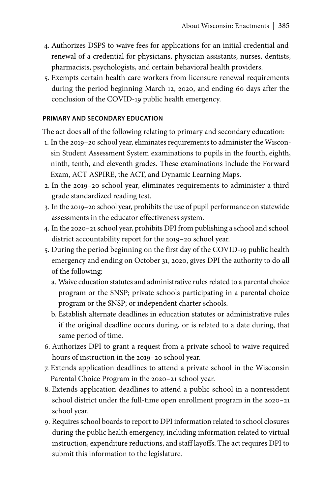- 4. Authorizes DSPS to waive fees for applications for an initial credential and renewal of a credential for physicians, physician assistants, nurses, dentists, pharmacists, psychologists, and certain behavioral health providers.
- 5. Exempts certain health care workers from licensure renewal requirements during the period beginning March 12, 2020, and ending 60 days after the conclusion of the COVID-19 public health emergency.

#### **PRIMARY AND SECONDARY EDUCATION**

The act does all of the following relating to primary and secondary education:

- 1. In the 2019–20 school year, eliminates requirements to administer the Wisconsin Student Assessment System examinations to pupils in the fourth, eighth, ninth, tenth, and eleventh grades. These examinations include the Forward Exam, ACT ASPIRE, the ACT, and Dynamic Learning Maps.
- 2. In the 2019–20 school year, eliminates requirements to administer a third grade standardized reading test.
- 3. In the 2019–20 school year, prohibits the use of pupil performance on statewide assessments in the educator effectiveness system.
- 4. In the 2020–21 school year, prohibits DPI from publishing a school and school district accountability report for the 2019–20 school year.
- 5. During the period beginning on the first day of the COVID-19 public health emergency and ending on October 31, 2020, gives DPI the authority to do all of the following:
	- a. Waive education statutes and administrative rules related to a parental choice program or the SNSP; private schools participating in a parental choice program or the SNSP; or independent charter schools.
	- b. Establish alternate deadlines in education statutes or administrative rules if the original deadline occurs during, or is related to a date during, that same period of time.
- 6. Authorizes DPI to grant a request from a private school to waive required hours of instruction in the 2019–20 school year.
- 7. Extends application deadlines to attend a private school in the Wisconsin Parental Choice Program in the 2020–21 school year.
- 8. Extends application deadlines to attend a public school in a nonresident school district under the full-time open enrollment program in the 2020–21 school year.
- 9. Requires school boards to report to DPI information related to school closures during the public health emergency, including information related to virtual instruction, expenditure reductions, and staff layoffs. The act requires DPI to submit this information to the legislature.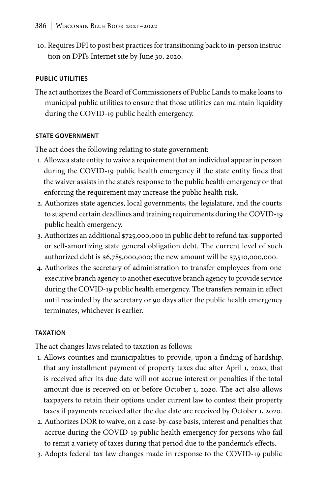10. Requires DPI to post best practices for transitioning back to in-person instruction on DPI's Internet site by June 30, 2020.

#### **PUBLIC UTILITIES**

The act authorizes the Board of Commissioners of Public Lands to make loans to municipal public utilities to ensure that those utilities can maintain liquidity during the COVID-19 public health emergency.

### **STATE GOVERNMENT**

The act does the following relating to state government:

- 1. Allows a state entity to waive a requirement that an individual appear in person during the COVID-19 public health emergency if the state entity finds that the waiver assists in the state's response to the public health emergency or that enforcing the requirement may increase the public health risk.
- 2. Authorizes state agencies, local governments, the legislature, and the courts to suspend certain deadlines and training requirements during the COVID-19 public health emergency.
- 3. Authorizes an additional \$725,000,000 in public debt to refund tax-supported or self-amortizing state general obligation debt. The current level of such authorized debt is \$6,785,000,000; the new amount will be \$7,510,000,000.
- 4. Authorizes the secretary of administration to transfer employees from one executive branch agency to another executive branch agency to provide service during the COVID-19 public health emergency. The transfers remain in effect until rescinded by the secretary or 90 days after the public health emergency terminates, whichever is earlier.

#### **TAXATION**

The act changes laws related to taxation as follows:

- 1. Allows counties and municipalities to provide, upon a finding of hardship, that any installment payment of property taxes due after April 1, 2020, that is received after its due date will not accrue interest or penalties if the total amount due is received on or before October 1, 2020. The act also allows taxpayers to retain their options under current law to contest their property taxes if payments received after the due date are received by October 1, 2020.
- 2. Authorizes DOR to waive, on a case-by-case basis, interest and penalties that accrue during the COVID-19 public health emergency for persons who fail to remit a variety of taxes during that period due to the pandemic's effects.
- 3. Adopts federal tax law changes made in response to the COVID-19 public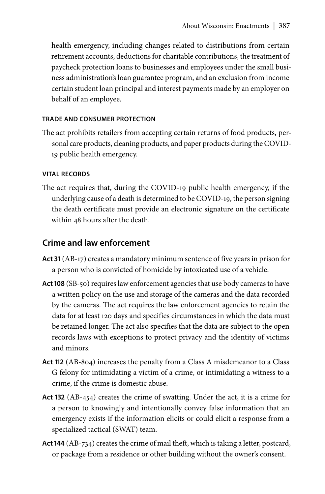health emergency, including changes related to distributions from certain retirement accounts, deductions for charitable contributions, the treatment of paycheck protection loans to businesses and employees under the small business administration's loan guarantee program, and an exclusion from income certain student loan principal and interest payments made by an employer on behalf of an employee.

### **TRADE AND CONSUMER PROTECTION**

The act prohibits retailers from accepting certain returns of food products, personal care products, cleaning products, and paper products during the COVID-19 public health emergency.

### **VITAL RECORDS**

The act requires that, during the COVID-19 public health emergency, if the underlying cause of a death is determined to be COVID-19, the person signing the death certificate must provide an electronic signature on the certificate within 48 hours after the death.

## **Crime and law enforcement**

- **Act 31** [\(AB-17\)](https://docs.legis.wisconsin.gov/2019/proposals/reg/asm/bill/ab17) creates a mandatory minimum sentence of five years in prison for a person who is convicted of homicide by intoxicated use of a vehicle.
- **Act 108** ([SB-50\)](https://docs.legis.wisconsin.gov/2019/proposals/reg/sen/bill/sb50) requires law enforcement agencies that use body cameras to have a written policy on the use and storage of the cameras and the data recorded by the cameras. The act requires the law enforcement agencies to retain the data for at least 120 days and specifies circumstances in which the data must be retained longer. The act also specifies that the data are subject to the open records laws with exceptions to protect privacy and the identity of victims and minors.
- **Act 112** [\(AB-804](https://docs.legis.wisconsin.gov/2019/proposals/reg/asm/bill/ab804)) increases the penalty from a Class A misdemeanor to a Class G felony for intimidating a victim of a crime, or intimidating a witness to a crime, if the crime is domestic abuse.
- **Act 132** ([AB-454\)](https://docs.legis.wisconsin.gov/2019/proposals/reg/asm/bill/ab454) creates the crime of swatting. Under the act, it is a crime for a person to knowingly and intentionally convey false information that an emergency exists if the information elicits or could elicit a response from a specialized tactical (SWAT) team.
- **Act 144** ([AB-734](https://docs.legis.wisconsin.gov/2019/proposals/reg/asm/bill/ab734)) creates the crime of mail theft, which is taking a letter, postcard, or package from a residence or other building without the owner's consent.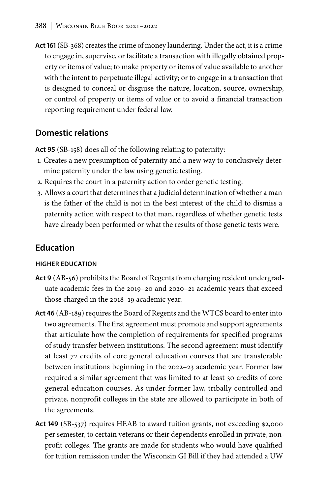**Act 161** [\(SB-368\)](https://docs.legis.wisconsin.gov/2019/proposals/reg/sen/bill/sb368) creates the crime of money laundering. Under the act, it is a crime to engage in, supervise, or facilitate a transaction with illegally obtained property or items of value; to make property or items of value available to another with the intent to perpetuate illegal activity; or to engage in a transaction that is designed to conceal or disguise the nature, location, source, ownership, or control of property or items of value or to avoid a financial transaction reporting requirement under federal law.

## **Domestic relations**

**Act 95** ([SB-158\)](https://docs.legis.wisconsin.gov/2019/proposals/reg/sen/bill/sb158) does all of the following relating to paternity:

- 1. Creates a new presumption of paternity and a new way to conclusively determine paternity under the law using genetic testing.
- 2. Requires the court in a paternity action to order genetic testing.
- 3. Allows a court that determines that a judicial determination of whether a man is the father of the child is not in the best interest of the child to dismiss a paternity action with respect to that man, regardless of whether genetic tests have already been performed or what the results of those genetic tests were.

## **Education**

#### **HIGHER EDUCATION**

- **Act 9** ([AB-](https://docs.legis.wisconsin.gov/2019/proposals/ab56)56) prohibits the Board of Regents from charging resident undergraduate academic fees in the 2019–20 and 2020–21 academic years that exceed those charged in the 2018–19 academic year.
- **Act 46** ([AB-189\)](https://docs.legis.wisconsin.gov/2019/proposals/reg/asm/bill/ab189) requires the Board of Regents and the WTCS board to enter into two agreements. The first agreement must promote and support agreements that articulate how the completion of requirements for specified programs of study transfer between institutions. The second agreement must identify at least 72 credits of core general education courses that are transferable between institutions beginning in the 2022–23 academic year. Former law required a similar agreement that was limited to at least 30 credits of core general education courses. As under former law, tribally controlled and private, nonprofit colleges in the state are allowed to participate in both of the agreements.
- **Act 149** ([SB-537](https://docs.legis.wisconsin.gov/2019/proposals/reg/sen/bill/sb537)) requires HEAB to award tuition grants, not exceeding \$2,000 per semester, to certain veterans or their dependents enrolled in private, nonprofit colleges. The grants are made for students who would have qualified for tuition remission under the Wisconsin GI Bill if they had attended a UW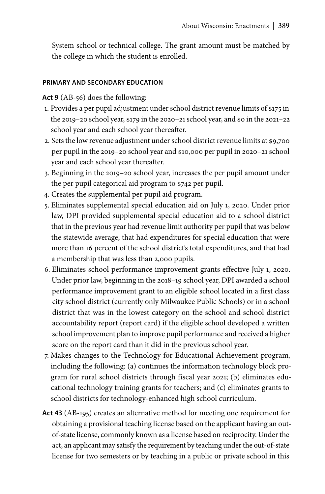System school or technical college. The grant amount must be matched by the college in which the student is enrolled.

#### **PRIMARY AND SECONDARY EDUCATION**

**Act 9** [\(AB-56\)](https://docs.legis.wisconsin.gov/2019/proposals/reg/asm/bill/ab56) does the following:

- 1. Provides a per pupil adjustment under school district revenue limits of \$175 in the 2019–20 school year, \$179 in the 2020–21 school year, and \$0 in the 2021–22 school year and each school year thereafter.
- 2. Sets the low revenue adjustment under school district revenue limits at \$9,700 per pupil in the 2019–20 school year and \$10,000 per pupil in 2020–21 school year and each school year thereafter.
- 3. Beginning in the 2019–20 school year, increases the per pupil amount under the per pupil categorical aid program to \$742 per pupil.
- 4. Creates the supplemental per pupil aid program.
- 5. Eliminates supplemental special education aid on July 1, 2020. Under prior law, DPI provided supplemental special education aid to a school district that in the previous year had revenue limit authority per pupil that was below the statewide average, that had expenditures for special education that were more than 16 percent of the school district's total expenditures, and that had a membership that was less than 2,000 pupils.
- 6. Eliminates school performance improvement grants effective July 1, 2020. Under prior law, beginning in the 2018–19 school year, DPI awarded a school performance improvement grant to an eligible school located in a first class city school district (currently only Milwaukee Public Schools) or in a school district that was in the lowest category on the school and school district accountability report (report card) if the eligible school developed a written school improvement plan to improve pupil performance and received a higher score on the report card than it did in the previous school year.
- 7. Makes changes to the Technology for Educational Achievement program, including the following: (a) continues the information technology block program for rural school districts through fiscal year 2021; (b) eliminates educational technology training grants for teachers; and (c) eliminates grants to school districts for technology-enhanced high school curriculum.
- **Act 43** [\(AB-195\)](https://docs.legis.wisconsin.gov/2019/proposals/reg/asm/bill/ab195) creates an alternative method for meeting one requirement for obtaining a provisional teaching license based on the applicant having an outof-state license, commonly known as a license based on reciprocity. Under the act, an applicant may satisfy the requirement by teaching under the out-of-state license for two semesters or by teaching in a public or private school in this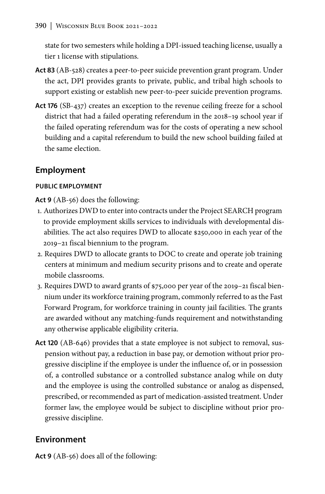state for two semesters while holding a DPI-issued teaching license, usually a tier 1 license with stipulations.

- **Act 83** [\(AB-528\)](https://docs.legis.wisconsin.gov/2019/proposals/ab528) creates a peer-to-peer suicide prevention grant program. Under the act, DPI provides grants to private, public, and tribal high schools to support existing or establish new peer-to-peer suicide prevention programs.
- **Act 176** ([SB-437\)](https://docs.legis.wisconsin.gov/2019/proposals/reg/sen/bill/sb437) creates an exception to the revenue ceiling freeze for a school district that had a failed operating referendum in the 2018–19 school year if the failed operating referendum was for the costs of operating a new school building and a capital referendum to build the new school building failed at the same election.

## **Employment**

## **PUBLIC EMPLOYMENT**

**Act 9** [\(AB-5](https://docs.legis.wisconsin.gov/2019/proposals/ab56)6) does the following:

- 1. Authorizes DWD to enter into contracts under the Project SEARCH program to provide employment skills services to individuals with developmental disabilities. The act also requires DWD to allocate \$250,000 in each year of the 2019–21 fiscal biennium to the program.
- 2. Requires DWD to allocate grants to DOC to create and operate job training centers at minimum and medium security prisons and to create and operate mobile classrooms.
- 3. Requires DWD to award grants of \$75,000 per year of the 2019–21 fiscal biennium under its workforce training program, commonly referred to as the Fast Forward Program, for workforce training in county jail facilities. The grants are awarded without any matching-funds requirement and notwithstanding any otherwise applicable eligibility criteria.
- **Act 120** [\(AB-646](https://docs.legis.wisconsin.gov/2019/proposals/reg/asm/bill/ab646)) provides that a state employee is not subject to removal, suspension without pay, a reduction in base pay, or demotion without prior progressive discipline if the employee is under the influence of, or in possession of, a controlled substance or a controlled substance analog while on duty and the employee is using the controlled substance or analog as dispensed, prescribed, or recommended as part of medication-assisted treatment. Under former law, the employee would be subject to discipline without prior progressive discipline.

# **Environment**

**Act 9** [\(AB-5](https://docs.legis.wisconsin.gov/2019/proposals/ab56)6) does all of the following: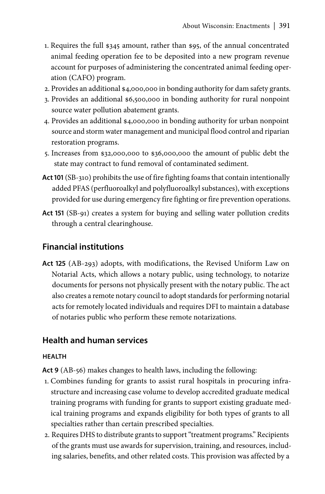- 1. Requires the full \$345 amount, rather than \$95, of the annual concentrated animal feeding operation fee to be deposited into a new program revenue account for purposes of administering the concentrated animal feeding operation (CAFO) program.
- 2. Provides an additional \$4,000,000 in bonding authority for dam safety grants.
- 3. Provides an additional \$6,500,000 in bonding authority for rural nonpoint source water pollution abatement grants.
- 4. Provides an additional \$4,000,000 in bonding authority for urban nonpoint source and storm water management and municipal flood control and riparian restoration programs.
- 5. Increases from \$32,000,000 to \$36,000,000 the amount of public debt the state may contract to fund removal of contaminated sediment.
- **Act 101** [\(SB-310\)](https://docs.legis.wisconsin.gov/2019/proposals/reg/sen/bill/sb310) prohibits the use of fire fighting foams that contain intentionally added PFAS (perfluoroalkyl and polyfluoroalkyl substances), with exceptions provided for use during emergency fire fighting or fire prevention operations.
- **Act 151** [\(SB-91](https://docs.legis.wisconsin.gov/2019/proposals/reg/sen/bill/sb91)) creates a system for buying and selling water pollution credits through a central clearinghouse.

# **Financial institutions**

**Act 125** ([AB-293](https://docs.legis.wisconsin.gov/2019/proposals/reg/asm/bill/ab293)) adopts, with modifications, the Revised Uniform Law on Notarial Acts, which allows a notary public, using technology, to notarize documents for persons not physically present with the notary public. The act also creates a remote notary council to adopt standards for performing notarial acts for remotely located individuals and requires DFI to maintain a database of notaries public who perform these remote notarizations.

## **Health and human services**

### **HEALTH**

**Act 9** [\(AB-5](https://docs.legis.wisconsin.gov/2019/proposals/ab56)6) makes changes to health laws, including the following:

- 1. Combines funding for grants to assist rural hospitals in procuring infrastructure and increasing case volume to develop accredited graduate medical training programs with funding for grants to support existing graduate medical training programs and expands eligibility for both types of grants to all specialties rather than certain prescribed specialties.
- 2. Requires DHS to distribute grants to support "treatment programs." Recipients of the grants must use awards for supervision, training, and resources, including salaries, benefits, and other related costs. This provision was affected by a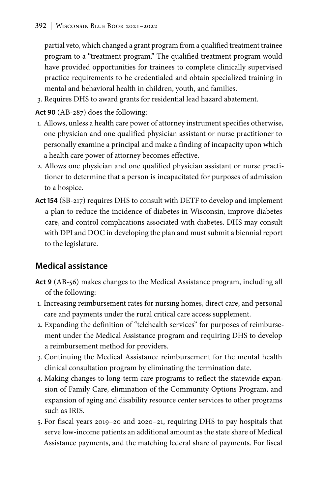partial veto, which changed a grant program from a qualified treatment trainee program to a "treatment program." The qualified treatment program would have provided opportunities for trainees to complete clinically supervised practice requirements to be credentialed and obtain specialized training in mental and behavioral health in children, youth, and families.

3. Requires DHS to award grants for residential lead hazard abatement.

**Act 90** [\(AB-287](https://docs.legis.wisconsin.gov/2019/proposals/ab287)) does the following:

- 1. Allows, unless a health care power of attorney instrument specifies otherwise, one physician and one qualified physician assistant or nurse practitioner to personally examine a principal and make a finding of incapacity upon which a health care power of attorney becomes effective.
- 2. Allows one physician and one qualified physician assistant or nurse practitioner to determine that a person is incapacitated for purposes of admission to a hospice.
- **Act 154** [\(SB-217\)](https://docs.legis.wisconsin.gov/2019/proposals/reg/sen/bill/sb217) requires DHS to consult with DETF to develop and implement a plan to reduce the incidence of diabetes in Wisconsin, improve diabetes care, and control complications associated with diabetes. DHS may consult with DPI and DOC in developing the plan and must submit a biennial report to the legislature.

# **Medical assistance**

- **Act 9** ([AB-](https://docs.legis.wisconsin.gov/2019/proposals/ab56)56) makes changes to the Medical Assistance program, including all of the following:
- 1. Increasing reimbursement rates for nursing homes, direct care, and personal care and payments under the rural critical care access supplement.
- 2. Expanding the definition of "telehealth services" for purposes of reimbursement under the Medical Assistance program and requiring DHS to develop a reimbursement method for providers.
- 3. Continuing the Medical Assistance reimbursement for the mental health clinical consultation program by eliminating the termination date.
- 4. Making changes to long-term care programs to reflect the statewide expansion of Family Care, elimination of the Community Options Program, and expansion of aging and disability resource center services to other programs such as IRIS.
- 5. For fiscal years 2019–20 and 2020–21, requiring DHS to pay hospitals that serve low-income patients an additional amount as the state share of Medical Assistance payments, and the matching federal share of payments. For fiscal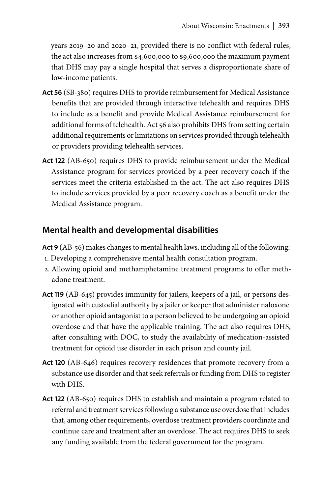years 2019–20 and 2020–21, provided there is no conflict with federal rules, the act also increases from \$4,600,000 to \$9,600,000 the maximum payment that DHS may pay a single hospital that serves a disproportionate share of low-income patients.

- **Act 56** [\(SB-380](https://docs.legis.wisconsin.gov/2019/proposals/reg/sen/bill/sb380)) requires DHS to provide reimbursement for Medical Assistance benefits that are provided through interactive telehealth and requires DHS to include as a benefit and provide Medical Assistance reimbursement for additional forms of telehealth. Act 56 also prohibits DHS from setting certain additional requirements or limitations on services provided through telehealth or providers providing telehealth services.
- **Act 122** [\(AB-650\)](https://docs.legis.wisconsin.gov/2019/proposals/reg/asm/bill/ab650) requires DHS to provide reimbursement under the Medical Assistance program for services provided by a peer recovery coach if the services meet the criteria established in the act. The act also requires DHS to include services provided by a peer recovery coach as a benefit under the Medical Assistance program.

## **Mental health and developmental disabilities**

**Act 9** [\(AB-](https://docs.legis.wisconsin.gov/2019/proposals/ab56)56) makes changes to mental health laws, including all of the following:

- 1. Developing a comprehensive mental health consultation program.
- 2. Allowing opioid and methamphetamine treatment programs to offer methadone treatment.
- **Act 119** [\(AB-645](https://docs.legis.wisconsin.gov/2019/proposals/reg/asm/bill/ab645)) provides immunity for jailers, keepers of a jail, or persons designated with custodial authority by a jailer or keeper that administer naloxone or another opioid antagonist to a person believed to be undergoing an opioid overdose and that have the applicable training. The act also requires DHS, after consulting with DOC, to study the availability of medication-assisted treatment for opioid use disorder in each prison and county jail.
- **Act 120** [\(AB-646\)](https://docs.legis.wisconsin.gov/2019/proposals/reg/asm/bill/ab646) requires recovery residences that promote recovery from a substance use disorder and that seek referrals or funding from DHS to register with DHS.
- **Act 122** [\(AB-650\)](https://docs.legis.wisconsin.gov/2019/proposals/reg/asm/bill/ab650) requires DHS to establish and maintain a program related to referral and treatment services following a substance use overdose that includes that, among other requirements, overdose treatment providers coordinate and continue care and treatment after an overdose. The act requires DHS to seek any funding available from the federal government for the program.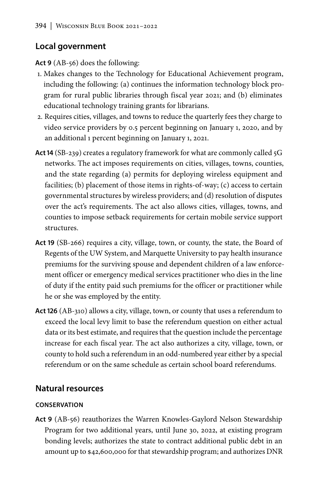## **Local government**

**Act 9** [\(AB-5](https://docs.legis.wisconsin.gov/2019/proposals/ab56)6) does the following:

- 1. Makes changes to the Technology for Educational Achievement program, including the following: (a) continues the information technology block program for rural public libraries through fiscal year 2021; and (b) eliminates educational technology training grants for librarians.
- 2. Requires cities, villages, and towns to reduce the quarterly fees they charge to video service providers by 0.5 percent beginning on January 1, 2020, and by an additional 1 percent beginning on January 1, 2021.
- **Act 14** [\(SB-239\)](https://docs.legis.wisconsin.gov/2019/proposals/reg/sen/bill/sb239) creates a regulatory framework for what are commonly called 5G networks. The act imposes requirements on cities, villages, towns, counties, and the state regarding (a) permits for deploying wireless equipment and facilities; (b) placement of those items in rights-of-way; (c) access to certain governmental structures by wireless providers; and (d) resolution of disputes over the act's requirements. The act also allows cities, villages, towns, and counties to impose setback requirements for certain mobile service support structures.
- **Act 19** ([SB-266](https://docs.legis.wisconsin.gov/2019/proposals/reg/sen/bill/sb266)) requires a city, village, town, or county, the state, the Board of Regents of the UW System, and Marquette University to pay health insurance premiums for the surviving spouse and dependent children of a law enforcement officer or emergency medical services practitioner who dies in the line of duty if the entity paid such premiums for the officer or practitioner while he or she was employed by the entity.
- **Act 126** ([AB-310\)](https://docs.legis.wisconsin.gov/2019/proposals/reg/asm/bill/ab310) allows a city, village, town, or county that uses a referendum to exceed the local levy limit to base the referendum question on either actual data or its best estimate, and requires that the question include the percentage increase for each fiscal year. The act also authorizes a city, village, town, or county to hold such a referendum in an odd-numbered year either by a special referendum or on the same schedule as certain school board referendums.

# **Natural resources**

## **CONSERVATION**

**Act 9** ([AB-56](https://docs.legis.wisconsin.gov/2019/proposals/ab56)) reauthorizes the Warren Knowles-Gaylord Nelson Stewardship Program for two additional years, until June 30, 2022, at existing program bonding levels; authorizes the state to contract additional public debt in an amount up to \$42,600,000 for that stewardship program; and authorizes DNR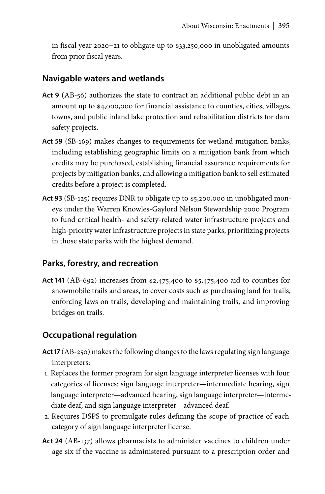in fiscal year 2020−21 to obligate up to \$33,250,000 in unobligated amounts from prior fiscal years.

## **Navigable waters and wetlands**

- Act 9 ([AB-56](https://docs.legis.wisconsin.gov/2019/proposals/ab56)) authorizes the state to contract an additional public debt in an amount up to \$4,000,000 for financial assistance to counties, cities, villages, towns, and public inland lake protection and rehabilitation districts for dam safety projects.
- **Act 59** [\(SB-169\)](https://docs.legis.wisconsin.gov/2019/proposals/reg/sen/bill/sb169) makes changes to requirements for wetland mitigation banks, including establishing geographic limits on a mitigation bank from which credits may be purchased, establishing financial assurance requirements for projects by mitigation banks, and allowing a mitigation bank to sell estimated credits before a project is completed.
- **Act 93** [\(SB-125\)](https://docs.legis.wisconsin.gov/2019/proposals/reg/sen/bill/sb125) requires DNR to obligate up to \$5,200,000 in unobligated moneys under the Warren Knowles-Gaylord Nelson Stewardship 2000 Program to fund critical health- and safety-related water infrastructure projects and high-priority water infrastructure projects in state parks, prioritizing projects in those state parks with the highest demand.

## **Parks, forestry, and recreation**

**Act 141** ([AB-692](https://docs.legis.wisconsin.gov/2019/proposals/reg/asm/bill/ab692)) increases from \$2,475,400 to \$5,475,400 aid to counties for snowmobile trails and areas, to cover costs such as purchasing land for trails, enforcing laws on trails, developing and maintaining trails, and improving bridges on trails.

## **Occupational regulation**

- **Act 17** ([AB-250\)](https://docs.legis.wisconsin.gov/2019/proposals/reg/asm/bill/ab250) makes the following changes to the laws regulating sign language interpreters:
- 1. Replaces the former program for sign language interpreter licenses with four categories of licenses: sign language interpreter—intermediate hearing, sign language interpreter—advanced hearing, sign language interpreter—intermediate deaf, and sign language interpreter—advanced deaf.
- 2. Requires DSPS to promulgate rules defining the scope of practice of each category of sign language interpreter license.
- **Act 24** [\(AB-137\)](https://docs.legis.wisconsin.gov/2019/proposals/reg/asm/bill/ab137) allows pharmacists to administer vaccines to children under age six if the vaccine is administered pursuant to a prescription order and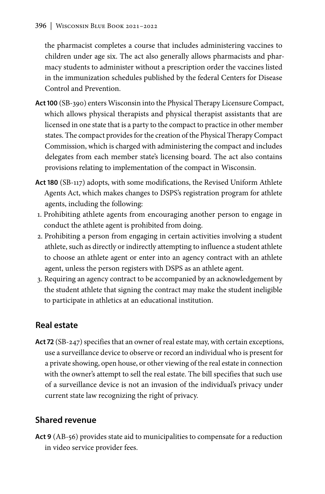the pharmacist completes a course that includes administering vaccines to children under age six. The act also generally allows pharmacists and pharmacy students to administer without a prescription order the vaccines listed in the immunization schedules published by the federal Centers for Disease Control and Prevention.

- **Act 100** ([SB-390\)](https://docs.legis.wisconsin.gov/2019/proposals/reg/sen/bill/sb390) enters Wisconsin into the Physical Therapy Licensure Compact, which allows physical therapists and physical therapist assistants that are licensed in one state that is a party to the compact to practice in other member states. The compact provides for the creation of the Physical Therapy Compact Commission, which is charged with administering the compact and includes delegates from each member state's licensing board. The act also contains provisions relating to implementation of the compact in Wisconsin.
- **Act 180** ([SB-117](https://docs.legis.wisconsin.gov/2019/proposals/reg/sen/bill/sb117)) adopts, with some modifications, the Revised Uniform Athlete Agents Act, which makes changes to DSPS's registration program for athlete agents, including the following:
- 1. Prohibiting athlete agents from encouraging another person to engage in conduct the athlete agent is prohibited from doing.
- 2. Prohibiting a person from engaging in certain activities involving a student athlete, such as directly or indirectly attempting to influence a student athlete to choose an athlete agent or enter into an agency contract with an athlete agent, unless the person registers with DSPS as an athlete agent.
- 3. Requiring an agency contract to be accompanied by an acknowledgement by the student athlete that signing the contract may make the student ineligible to participate in athletics at an educational institution.

# **Real estate**

**Act 72** ([SB-247\)](https://docs.legis.wisconsin.gov/2019/proposals/reg/sen/bill/sb247) specifies that an owner of real estate may, with certain exceptions, use a surveillance device to observe or record an individual who is present for a private showing, open house, or other viewing of the real estate in connection with the owner's attempt to sell the real estate. The bill specifies that such use of a surveillance device is not an invasion of the individual's privacy under current state law recognizing the right of privacy.

# **Shared revenue**

**Act 9** ([AB-56](https://docs.legis.wisconsin.gov/2019/proposals/ab56)) provides state aid to municipalities to compensate for a reduction in video service provider fees.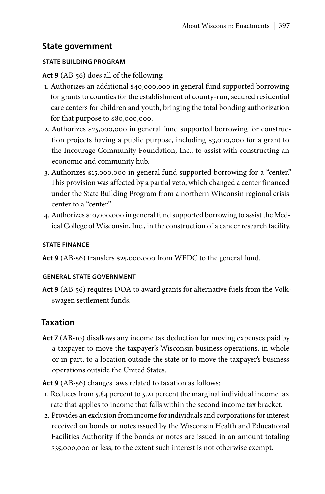## **State government**

### **STATE BUILDING PROGRAM**

**Act 9** [\(AB-56\)](https://docs.legis.wisconsin.gov/2019/proposals/reg/asm/bill/ab56) does all of the following:

- 1. Authorizes an additional \$40,000,000 in general fund supported borrowing for grants to counties for the establishment of county-run, secured residential care centers for children and youth, bringing the total bonding authorization for that purpose to \$80,000,000.
- 2. Authorizes \$25,000,000 in general fund supported borrowing for construction projects having a public purpose, including \$3,000,000 for a grant to the Incourage Community Foundation, Inc., to assist with constructing an economic and community hub.
- 3. Authorizes \$15,000,000 in general fund supported borrowing for a "center." This provision was affected by a partial veto, which changed a center financed under the State Building Program from a northern Wisconsin regional crisis center to a "center."
- 4. Authorizes \$10,000,000 in general fund supported borrowing to assist the Medical College of Wisconsin, Inc., in the construction of a cancer research facility.

### **STATE FINANCE**

**Act 9** [\(AB-56\)](https://docs.legis.wisconsin.gov/2019/proposals/reg/asm/bill/ab56) transfers \$25,000,000 from WEDC to the general fund.

### **GENERAL STATE GOVERNMENT**

**Act 9** [\(AB-56\)](https://docs.legis.wisconsin.gov/2019/proposals/reg/asm/bill/ab56) requires DOA to award grants for alternative fuels from the Volkswagen settlement funds.

## **Taxation**

Act 7 ([AB-10\)](https://docs.legis.wisconsin.gov/2019/proposals/ab10) disallows any income tax deduction for moving expenses paid by a taxpayer to move the taxpayer's Wisconsin business operations, in whole or in part, to a location outside the state or to move the taxpayer's business operations outside the United States.

**Act 9** [\(AB-5](https://docs.legis.wisconsin.gov/2019/proposals/ab56)6) changes laws related to taxation as follows:

- 1. Reduces from 5.84 percent to 5.21 percent the marginal individual income tax rate that applies to income that falls within the second income tax bracket.
- 2. Provides an exclusion from income for individuals and corporations for interest received on bonds or notes issued by the Wisconsin Health and Educational Facilities Authority if the bonds or notes are issued in an amount totaling \$35,000,000 or less, to the extent such interest is not otherwise exempt.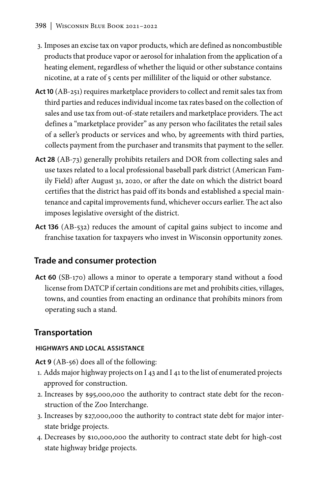- 3. Imposes an excise tax on vapor products, which are defined as noncombustible products that produce vapor or aerosol for inhalation from the application of a heating element, regardless of whether the liquid or other substance contains nicotine, at a rate of 5 cents per milliliter of the liquid or other substance.
- **Act 10** [\(AB-251](https://docs.legis.wisconsin.gov/2019/proposals/ab251)) requires marketplace providers to collect and remit sales tax from third parties and reduces individual income tax rates based on the collection of sales and use tax from out-of-state retailers and marketplace providers. The act defines a "marketplace provider" as any person who facilitates the retail sales of a seller's products or services and who, by agreements with third parties, collects payment from the purchaser and transmits that payment to the seller.
- **Act 28** [\(AB-73](https://docs.legis.wisconsin.gov/2019/proposals/reg/asm/bill/ab73)) generally prohibits retailers and DOR from collecting sales and use taxes related to a local professional baseball park district (American Family Field) after August 31, 2020, or after the date on which the district board certifies that the district has paid off its bonds and established a special maintenance and capital improvements fund, whichever occurs earlier. The act also imposes legislative oversight of the district.
- **Act 136** [\(AB-532\)](https://docs.legis.wisconsin.gov/2019/proposals/reg/asm/bill/ab532) reduces the amount of capital gains subject to income and franchise taxation for taxpayers who invest in Wisconsin opportunity zones.

## **Trade and consumer protection**

**Act 60** [\(SB-170\)](https://docs.legis.wisconsin.gov/2019/proposals/reg/sen/bill/sb170) allows a minor to operate a temporary stand without a food license from DATCP if certain conditions are met and prohibits cities, villages, towns, and counties from enacting an ordinance that prohibits minors from operating such a stand.

## **Transportation**

## **HIGHWAYS AND LOCAL ASSISTANCE**

**Act 9** [\(AB-5](https://docs.legis.wisconsin.gov/2019/proposals/ab56)6) does all of the following:

- 1. Adds major highway projects on I 43 and I 41 to the list of enumerated projects approved for construction.
- 2. Increases by \$95,000,000 the authority to contract state debt for the reconstruction of the Zoo Interchange.
- 3. Increases by \$27,000,000 the authority to contract state debt for major interstate bridge projects.
- 4. Decreases by \$10,000,000 the authority to contract state debt for high-cost state highway bridge projects.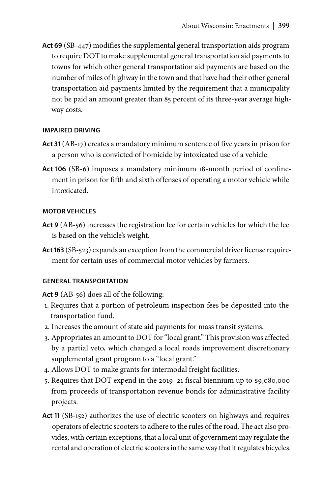**Act 69** ([SB-447](https://docs.legis.wisconsin.gov/2019/proposals/reg/sen/bill/sb447)) modifies the supplemental general transportation aids program to require DOT to make supplemental general transportation aid payments to towns for which other general transportation aid payments are based on the number of miles of highway in the town and that have had their other general transportation aid payments limited by the requirement that a municipality not be paid an amount greater than 85 percent of its three-year average highway costs.

### **IMPAIRED DRIVING**

- **Act 31** [\(AB-17\)](https://docs.legis.wisconsin.gov/2019/proposals/reg/asm/bill/ab17) creates a mandatory minimum sentence of five years in prison for a person who is convicted of homicide by intoxicated use of a vehicle.
- **Act 106** ([SB-6](https://docs.legis.wisconsin.gov/2019/proposals/reg/sen/bill/sb6)) imposes a mandatory minimum 18-month period of confinement in prison for fifth and sixth offenses of operating a motor vehicle while intoxicated.

#### **MOTOR VEHICLES**

- **Act 9** ([AB-](https://docs.legis.wisconsin.gov/2019/proposals/ab56)56) increases the registration fee for certain vehicles for which the fee is based on the vehicle's weight.
- **Act 163** ([SB-523\)](https://docs.legis.wisconsin.gov/2019/proposals/reg/sen/bill/sb523) expands an exception from the commercial driver license requirement for certain uses of commercial motor vehicles by farmers.

#### **GENERAL TRANSPORTATION**

**Act 9** [\(AB-5](https://docs.legis.wisconsin.gov/2019/proposals/ab56)6) does all of the following:

- 1. Requires that a portion of petroleum inspection fees be deposited into the transportation fund.
- 2. Increases the amount of state aid payments for mass transit systems.
- 3. Appropriates an amount to DOT for "local grant." This provision was affected by a partial veto, which changed a local roads improvement discretionary supplemental grant program to a "local grant."
- 4. Allows DOT to make grants for intermodal freight facilities.
- 5. Requires that DOT expend in the 2019–21 fiscal biennium up to \$9,080,000 from proceeds of transportation revenue bonds for administrative facility projects.
- **Act 11** [\(SB-152\)](https://docs.legis.wisconsin.gov/2019/proposals/reg/sen/bill/sb152) authorizes the use of electric scooters on highways and requires operators of electric scooters to adhere to the rules of the road. The act also provides, with certain exceptions, that a local unit of government may regulate the rental and operation of electric scooters in the same way that it regulates bicycles.